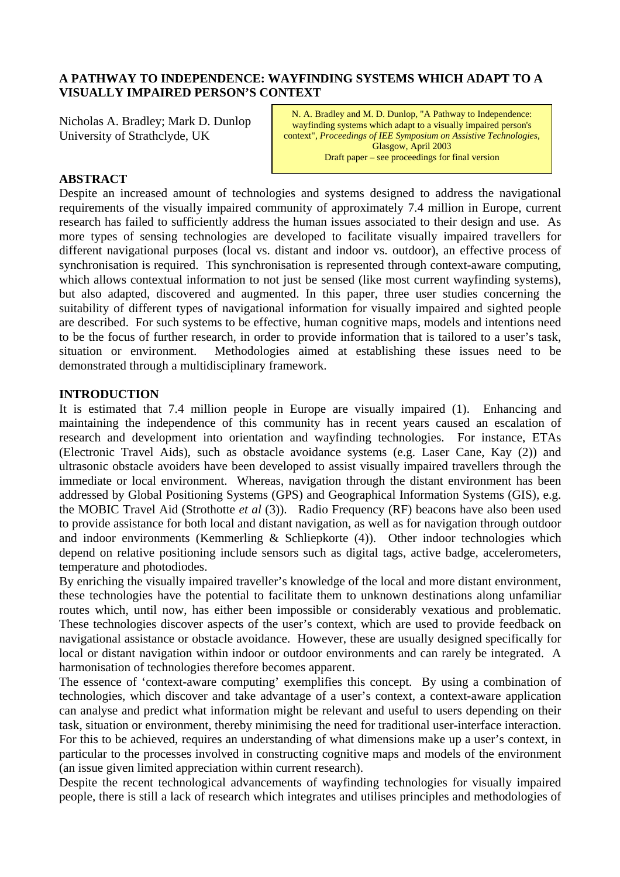### **A PATHWAY TO INDEPENDENCE: WAYFINDING SYSTEMS WHICH ADAPT TO A VISUALLY IMPAIRED PERSON'S CONTEXT**

Nicholas A. Bradley; Mark D. Dunlop University of Strathclyde, UK

N. A. Bradley and M. D. Dunlop, "A Pathway to Independence: wayfinding systems which adapt to a visually impaired person's context", *Proceedings of IEE Symposium on Assistive Technologies*, Glasgow, April 2003 Draft paper – see proceedings for final version

#### **ABSTRACT**

Despite an increased amount of technologies and systems designed to address the navigational requirements of the visually impaired community of approximately 7.4 million in Europe, current research has failed to sufficiently address the human issues associated to their design and use. As more types of sensing technologies are developed to facilitate visually impaired travellers for different navigational purposes (local vs. distant and indoor vs. outdoor), an effective process of synchronisation is required. This synchronisation is represented through context-aware computing, which allows contextual information to not just be sensed (like most current wayfinding systems), but also adapted, discovered and augmented. In this paper, three user studies concerning the suitability of different types of navigational information for visually impaired and sighted people are described. For such systems to be effective, human cognitive maps, models and intentions need to be the focus of further research, in order to provide information that is tailored to a user's task, situation or environment. Methodologies aimed at establishing these issues need to be demonstrated through a multidisciplinary framework.

#### **INTRODUCTION**

It is estimated that 7.4 million people in Europe are visually impaired (1). Enhancing and maintaining the independence of this community has in recent years caused an escalation of research and development into orientation and wayfinding technologies. For instance, ETAs (Electronic Travel Aids), such as obstacle avoidance systems (e.g. Laser Cane, Kay (2)) and ultrasonic obstacle avoiders have been developed to assist visually impaired travellers through the immediate or local environment. Whereas, navigation through the distant environment has been addressed by Global Positioning Systems (GPS) and Geographical Information Systems (GIS), e.g. the MOBIC Travel Aid (Strothotte *et al* (3)). Radio Frequency (RF) beacons have also been used to provide assistance for both local and distant navigation, as well as for navigation through outdoor and indoor environments (Kemmerling  $\&$  Schliepkorte (4)). Other indoor technologies which depend on relative positioning include sensors such as digital tags, active badge, accelerometers, temperature and photodiodes.

By enriching the visually impaired traveller's knowledge of the local and more distant environment, these technologies have the potential to facilitate them to unknown destinations along unfamiliar routes which, until now, has either been impossible or considerably vexatious and problematic. These technologies discover aspects of the user's context, which are used to provide feedback on navigational assistance or obstacle avoidance. However, these are usually designed specifically for local or distant navigation within indoor or outdoor environments and can rarely be integrated. A harmonisation of technologies therefore becomes apparent.

The essence of 'context-aware computing' exemplifies this concept. By using a combination of technologies, which discover and take advantage of a user's context, a context-aware application can analyse and predict what information might be relevant and useful to users depending on their task, situation or environment, thereby minimising the need for traditional user-interface interaction. For this to be achieved, requires an understanding of what dimensions make up a user's context, in particular to the processes involved in constructing cognitive maps and models of the environment (an issue given limited appreciation within current research).

Despite the recent technological advancements of wayfinding technologies for visually impaired people, there is still a lack of research which integrates and utilises principles and methodologies of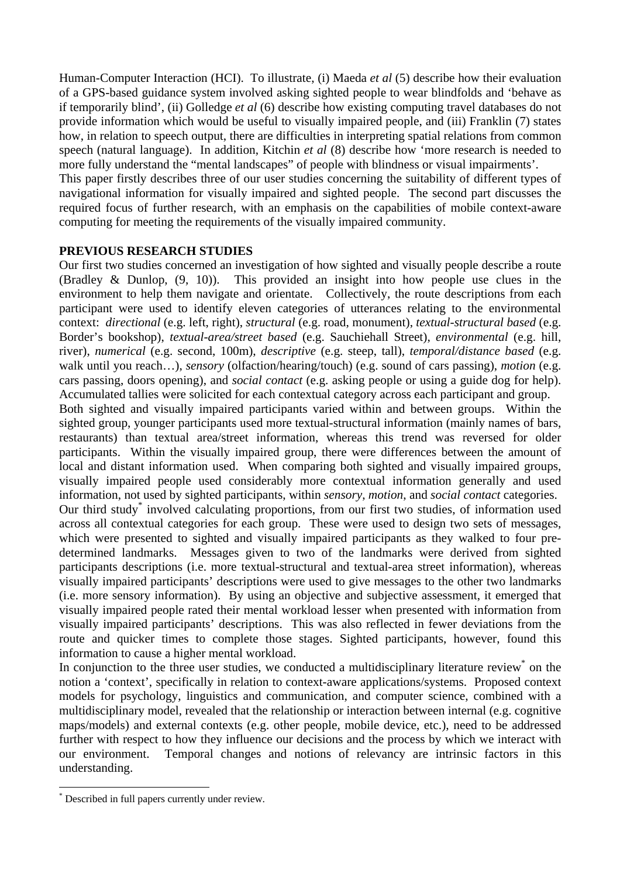Human-Computer Interaction (HCI). To illustrate, (i) Maeda *et al* (5) describe how their evaluation of a GPS-based guidance system involved asking sighted people to wear blindfolds and 'behave as if temporarily blind', (ii) Golledge *et al* (6) describe how existing computing travel databases do not provide information which would be useful to visually impaired people, and (iii) Franklin (7) states how, in relation to speech output, there are difficulties in interpreting spatial relations from common speech (natural language). In addition, Kitchin *et al* (8) describe how 'more research is needed to more fully understand the "mental landscapes" of people with blindness or visual impairments'.

This paper firstly describes three of our user studies concerning the suitability of different types of navigational information for visually impaired and sighted people. The second part discusses the required focus of further research, with an emphasis on the capabilities of mobile context-aware computing for meeting the requirements of the visually impaired community.

# **PREVIOUS RESEARCH STUDIES**

Our first two studies concerned an investigation of how sighted and visually people describe a route (Bradley & Dunlop, (9, 10)). This provided an insight into how people use clues in the environment to help them navigate and orientate. Collectively, the route descriptions from each participant were used to identify eleven categories of utterances relating to the environmental context: *directional* (e.g. left, right), *structural* (e.g. road, monument), *textual-structural based* (e.g. Border's bookshop), *textual-area/street based* (e.g. Sauchiehall Street), *environmental* (e.g. hill, river), *numerical* (e.g. second, 100m), *descriptive* (e.g. steep, tall), *temporal/distance based* (e.g. walk until you reach…), *sensory* (olfaction/hearing/touch) (e.g. sound of cars passing), *motion* (e.g. cars passing, doors opening), and *social contact* (e.g. asking people or using a guide dog for help). Accumulated tallies were solicited for each contextual category across each participant and group.

Both sighted and visually impaired participants varied within and between groups. Within the sighted group, younger participants used more textual-structural information (mainly names of bars, restaurants) than textual area/street information, whereas this trend was reversed for older participants. Within the visually impaired group, there were differences between the amount of local and distant information used. When comparing both sighted and visually impaired groups, visually impaired people used considerably more contextual information generally and used information, not used by sighted participants, within *sensory*, *motion*, and *social contact* categories.

Our third study\* involved calculating proportions, from our first two studies, of information used across all contextual categories for each group. These were used to design two sets of messages, which were presented to sighted and visually impaired participants as they walked to four predetermined landmarks. Messages given to two of the landmarks were derived from sighted participants descriptions (i.e. more textual-structural and textual-area street information), whereas visually impaired participants' descriptions were used to give messages to the other two landmarks (i.e. more sensory information). By using an objective and subjective assessment, it emerged that visually impaired people rated their mental workload lesser when presented with information from visually impaired participants' descriptions. This was also reflected in fewer deviations from the route and quicker times to complete those stages. Sighted participants, however, found this information to cause a higher mental workload.

In conjunction to the three user studies, we conducted a multidisciplinary literature review on the notion a 'context', specifically in relation to context-aware applications/systems. Proposed context models for psychology, linguistics and communication, and computer science, combined with a multidisciplinary model, revealed that the relationship or interaction between internal (e.g. cognitive maps/models) and external contexts (e.g. other people, mobile device, etc.), need to be addressed further with respect to how they influence our decisions and the process by which we interact with our environment. Temporal changes and notions of relevancy are intrinsic factors in this understanding.

 $\overline{a}$ 

<sup>\*</sup> Described in full papers currently under review.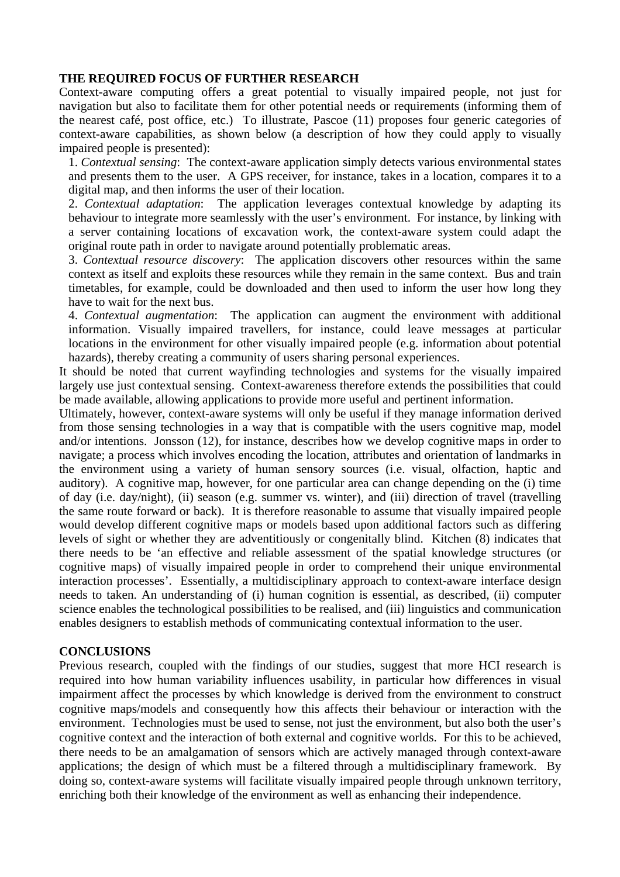#### **THE REQUIRED FOCUS OF FURTHER RESEARCH**

Context-aware computing offers a great potential to visually impaired people, not just for navigation but also to facilitate them for other potential needs or requirements (informing them of the nearest café, post office, etc.) To illustrate, Pascoe (11) proposes four generic categories of context-aware capabilities, as shown below (a description of how they could apply to visually impaired people is presented):

1. *Contextual sensing*: The context-aware application simply detects various environmental states and presents them to the user. A GPS receiver, for instance, takes in a location, compares it to a digital map, and then informs the user of their location.

2. *Contextual adaptation*: The application leverages contextual knowledge by adapting its behaviour to integrate more seamlessly with the user's environment. For instance, by linking with a server containing locations of excavation work, the context-aware system could adapt the original route path in order to navigate around potentially problematic areas.

3. *Contextual resource discovery*: The application discovers other resources within the same context as itself and exploits these resources while they remain in the same context. Bus and train timetables, for example, could be downloaded and then used to inform the user how long they have to wait for the next bus.

4. *Contextual augmentation*: The application can augment the environment with additional information. Visually impaired travellers, for instance, could leave messages at particular locations in the environment for other visually impaired people (e.g. information about potential hazards), thereby creating a community of users sharing personal experiences.

It should be noted that current wayfinding technologies and systems for the visually impaired largely use just contextual sensing. Context-awareness therefore extends the possibilities that could be made available, allowing applications to provide more useful and pertinent information.

Ultimately, however, context-aware systems will only be useful if they manage information derived from those sensing technologies in a way that is compatible with the users cognitive map, model and/or intentions. Jonsson (12), for instance, describes how we develop cognitive maps in order to navigate; a process which involves encoding the location, attributes and orientation of landmarks in the environment using a variety of human sensory sources (i.e. visual, olfaction, haptic and auditory). A cognitive map, however, for one particular area can change depending on the (i) time of day (i.e. day/night), (ii) season (e.g. summer vs. winter), and (iii) direction of travel (travelling the same route forward or back). It is therefore reasonable to assume that visually impaired people would develop different cognitive maps or models based upon additional factors such as differing levels of sight or whether they are adventitiously or congenitally blind. Kitchen (8) indicates that there needs to be 'an effective and reliable assessment of the spatial knowledge structures (or cognitive maps) of visually impaired people in order to comprehend their unique environmental interaction processes'. Essentially, a multidisciplinary approach to context-aware interface design needs to taken. An understanding of (i) human cognition is essential, as described, (ii) computer science enables the technological possibilities to be realised, and (iii) linguistics and communication enables designers to establish methods of communicating contextual information to the user.

# **CONCLUSIONS**

Previous research, coupled with the findings of our studies, suggest that more HCI research is required into how human variability influences usability, in particular how differences in visual impairment affect the processes by which knowledge is derived from the environment to construct cognitive maps/models and consequently how this affects their behaviour or interaction with the environment. Technologies must be used to sense, not just the environment, but also both the user's cognitive context and the interaction of both external and cognitive worlds. For this to be achieved, there needs to be an amalgamation of sensors which are actively managed through context-aware applications; the design of which must be a filtered through a multidisciplinary framework. By doing so, context-aware systems will facilitate visually impaired people through unknown territory, enriching both their knowledge of the environment as well as enhancing their independence.